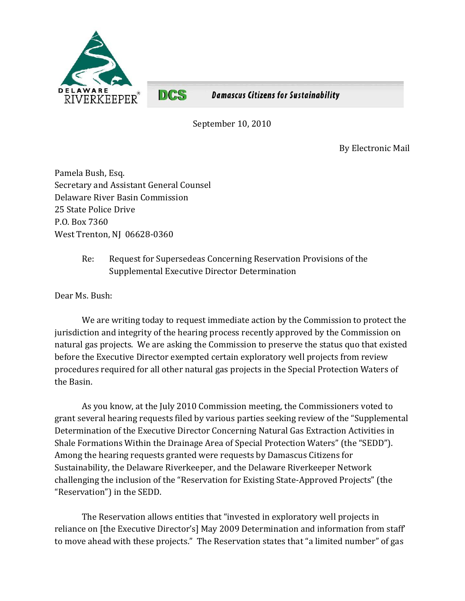

**Damascus Citizens for Sustainability** 

September 10, 2010

By Electronic Mail

Pamela Bush, Esq. Secretary and Assistant General Counsel Delaware River Basin Commission 25 State Police Drive P.O. Box 7360 West Trenton, NJ 06628-0360

**DCS** 

Re: Request for Supersedeas Concerning Reservation Provisions of the Supplemental Executive Director Determination

Dear Ms. Bush:

We are writing today to request immediate action by the Commission to protect the jurisdiction and integrity of the hearing process recently approved by the Commission on natural gas projects. We are asking the Commission to preserve the status quo that existed before the Executive Director exempted certain exploratory well projects from review procedures required for all other natural gas projects in the Special Protection Waters of the Basin.

As you know, at the July 2010 Commission meeting, the Commissioners voted to grant several hearing requests filed by various parties seeking review of the "Supplemental Determination of the Executive Director Concerning Natural Gas Extraction Activities in Shale Formations Within the Drainage Area of Special Protection Waters" (the "SEDD"). Among the hearing requests granted were requests by Damascus Citizens for Sustainability, the Delaware Riverkeeper, and the Delaware Riverkeeper Network challenging the inclusion of the "Reservation for Existing State-Approved Projects" (the "Reservation") in the SEDD.

The Reservation allows entities that "invested in exploratory well projects in reliance on [the Executive Director's] May 2009 Determination and information from staff' to move ahead with these projects." The Reservation states that "a limited number" of gas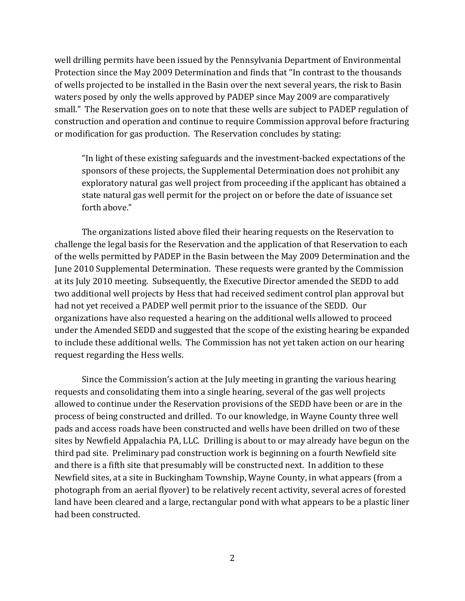well drilling permits have been issued by the Pennsylvania Department of Environmental Protection since the May 2009 Determination and finds that "In contrast to the thousands of wells projected to be installed in the Basin over the next several years, the risk to Basin waters posed by only the wells approved by PADEP since May 2009 are comparatively small." The Reservation goes on to note that these wells are subject to PADEP regulation of construction and operation and continue to require Commission approval before fracturing or modification for gas production. The Reservation concludes by stating:

"In light of these existing safeguards and the investment-backed expectations of the sponsors of these projects, the Supplemental Determination does not prohibit any exploratory natural gas well project from proceeding if the applicant has obtained a state natural gas well permit for the project on or before the date of issuance set forth above."

The organizations listed above filed their hearing requests on the Reservation to challenge the legal basis for the Reservation and the application of that Reservation to each of the wells permitted by PADEP in the Basin between the May 2009 Determination and the June 2010 Supplemental Determination. These requests were granted by the Commission at its July 2010 meeting. Subsequently, the Executive Director amended the SEDD to add two additional well projects by Hess that had received sediment control plan approval but had not yet received a PADEP well permit prior to the issuance of the SEDD. Our organizations have also requested a hearing on the additional wells allowed to proceed under the Amended SEDD and suggested that the scope of the existing hearing be expanded to include these additional wells. The Commission has not yet taken action on our hearing request regarding the Hess wells.

Since the Commission's action at the July meeting in granting the various hearing requests and consolidating them into a single hearing, several of the gas well projects allowed to continue under the Reservation provisions of the SEDD have been or are in the process of being constructed and drilled. To our knowledge, in Wayne County three well pads and access roads have been constructed and wells have been drilled on two of these sites by Newfield Appalachia PA, LLC. Drilling is about to or may already have begun on the third pad site. Preliminary pad construction work is beginning on a fourth Newfield site and there is a fifth site that presumably will be constructed next. In addition to these Newfield sites, at a site in Buckingham Township, Wayne County, in what appears (from a photograph from an aerial flyover) to be relatively recent activity, several acres of forested land have been cleared and a large, rectangular pond with what appears to be a plastic liner had been constructed.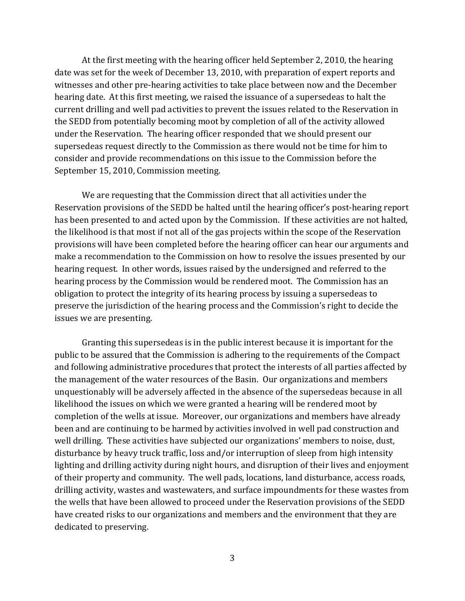At the first meeting with the hearing officer held September 2, 2010, the hearing date was set for the week of December 13, 2010, with preparation of expert reports and witnesses and other pre-hearing activities to take place between now and the December hearing date. At this first meeting, we raised the issuance of a supersedeas to halt the current drilling and well pad activities to prevent the issues related to the Reservation in the SEDD from potentially becoming moot by completion of all of the activity allowed under the Reservation. The hearing officer responded that we should present our supersedeas request directly to the Commission as there would not be time for him to consider and provide recommendations on this issue to the Commission before the September 15, 2010, Commission meeting.

We are requesting that the Commission direct that all activities under the Reservation provisions of the SEDD be halted until the hearing officer's post-hearing report has been presented to and acted upon by the Commission. If these activities are not halted, the likelihood is that most if not all of the gas projects within the scope of the Reservation provisions will have been completed before the hearing officer can hear our arguments and make a recommendation to the Commission on how to resolve the issues presented by our hearing request. In other words, issues raised by the undersigned and referred to the hearing process by the Commission would be rendered moot. The Commission has an obligation to protect the integrity of its hearing process by issuing a supersedeas to preserve the jurisdiction of the hearing process and the Commission's right to decide the issues we are presenting.

Granting this supersedeas is in the public interest because it is important for the public to be assured that the Commission is adhering to the requirements of the Compact and following administrative procedures that protect the interests of all parties affected by the management of the water resources of the Basin. Our organizations and members unquestionably will be adversely affected in the absence of the supersedeas because in all likelihood the issues on which we were granted a hearing will be rendered moot by completion of the wells at issue. Moreover, our organizations and members have already been and are continuing to be harmed by activities involved in well pad construction and well drilling. These activities have subjected our organizations' members to noise, dust, disturbance by heavy truck traffic, loss and/or interruption of sleep from high intensity lighting and drilling activity during night hours, and disruption of their lives and enjoyment of their property and community. The well pads, locations, land disturbance, access roads, drilling activity, wastes and wastewaters, and surface impoundments for these wastes from the wells that have been allowed to proceed under the Reservation provisions of the SEDD have created risks to our organizations and members and the environment that they are dedicated to preserving.